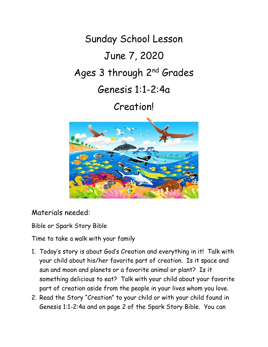Sunday School Lesson June 7, 2020 Ages 3 through 2nd Grades Genesis 1:1-2:4a

Creation!



Materials needed:

Bible or Spark Story Bible

Time to take a walk with your family

- 1. Today's story is about God's Creation and everything in it! Talk with your child about his/her favorite part of creation. Is it space and sun and moon and planets or a favorite animal or plant? Is it something delicious to eat? Talk with your child about your favorite part of creation aside from the people in your lives whom you love.
- 2. Read the Story "Creation" to your child or with your child found in Genesis 1:1-2:4a and on page 2 of the Spark Story Bible. You can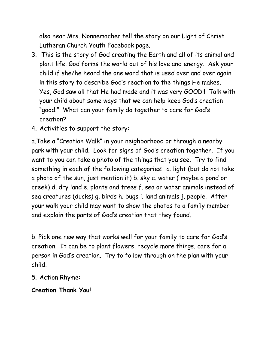also hear Mrs. Nonnemacher tell the story on our Light of Christ Lutheran Church Youth Facebook page.

- 3. This is the story of God creating the Earth and all of its animal and plant life. God forms the world out of his love and energy. Ask your child if she/he heard the one word that is used over and over again in this story to describe God's reaction to the things He makes. Yes, God saw all that He had made and it was very GOOD!! Talk with your child about some ways that we can help keep God's creation "good." What can your family do together to care for God's creation?
- 4. Activities to support the story:

a.Take a "Creation Walk" in your neighborhood or through a nearby park with your child. Look for signs of God's creation together. If you want to you can take a photo of the things that you see. Try to find something in each of the following categories: a. light (but do not take a photo of the sun, just mention it) b. sky c. water ( maybe a pond or creek) d. dry land e. plants and trees f. sea or water animals instead of sea creatures (ducks) g. birds h. bugs i. land animals j. people. After your walk your child may want to show the photos to a family member and explain the parts of God's creation that they found.

b. Pick one new way that works well for your family to care for God's creation. It can be to plant flowers, recycle more things, care for a person in God's creation. Try to follow through on the plan with your child.

- 5. Action Rhyme:
- **Creation Thank You!**